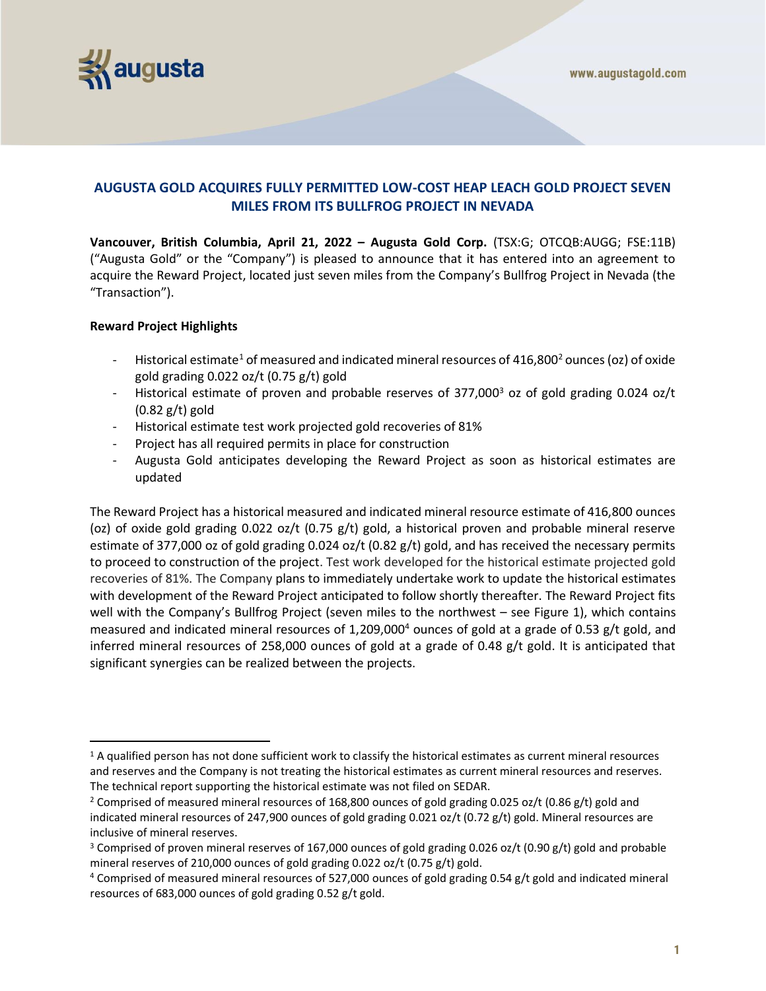

# **AUGUSTA GOLD ACQUIRES FULLY PERMITTED LOW-COST HEAP LEACH GOLD PROJECT SEVEN MILES FROM ITS BULLFROG PROJECT IN NEVADA**

**Vancouver, British Columbia, April 21, 2022 – Augusta Gold Corp.** (TSX:G; OTCQB:AUGG; FSE:11B) ("Augusta Gold" or the "Company") is pleased to announce that it has entered into an agreement to acquire the Reward Project, located just seven miles from the Company's Bullfrog Project in Nevada (the "Transaction").

## **Reward Project Highlights**

- Historical estimate<sup>1</sup> of measured and indicated mineral resources of  $416,800<sup>2</sup>$  ounces (oz) of oxide gold grading 0.022 oz/t (0.75 g/t) gold
- Historical estimate of proven and probable reserves of 377,000<sup>3</sup> oz of gold grading 0.024 oz/t  $(0.82 g/t)$  gold
- Historical estimate test work projected gold recoveries of 81%
- Project has all required permits in place for construction
- Augusta Gold anticipates developing the Reward Project as soon as historical estimates are updated

The Reward Project has a historical measured and indicated mineral resource estimate of 416,800 ounces (oz) of oxide gold grading 0.022 oz/t (0.75 g/t) gold, a historical proven and probable mineral reserve estimate of 377,000 oz of gold grading 0.024 oz/t (0.82 g/t) gold, and has received the necessary permits to proceed to construction of the project. Test work developed for the historical estimate projected gold recoveries of 81%. The Company plans to immediately undertake work to update the historical estimates with development of the Reward Project anticipated to follow shortly thereafter. The Reward Project fits well with the Company's Bullfrog Project (seven miles to the northwest – see Figure 1), which contains measured and indicated mineral resources of 1,209,000<sup>4</sup> ounces of gold at a grade of 0.53 g/t gold, and inferred mineral resources of 258,000 ounces of gold at a grade of 0.48 g/t gold. It is anticipated that significant synergies can be realized between the projects.

 $1$  A qualified person has not done sufficient work to classify the historical estimates as current mineral resources and reserves and the Company is not treating the historical estimates as current mineral resources and reserves. The technical report supporting the historical estimate was not filed on SEDAR.

<sup>&</sup>lt;sup>2</sup> Comprised of measured mineral resources of 168,800 ounces of gold grading 0.025 oz/t (0.86 g/t) gold and indicated mineral resources of 247,900 ounces of gold grading 0.021 oz/t (0.72 g/t) gold. Mineral resources are inclusive of mineral reserves.

<sup>&</sup>lt;sup>3</sup> Comprised of proven mineral reserves of 167,000 ounces of gold grading 0.026 oz/t (0.90 g/t) gold and probable mineral reserves of 210,000 ounces of gold grading 0.022 oz/t (0.75 g/t) gold.

<sup>4</sup> Comprised of measured mineral resources of 527,000 ounces of gold grading 0.54 g/t gold and indicated mineral resources of 683,000 ounces of gold grading 0.52 g/t gold.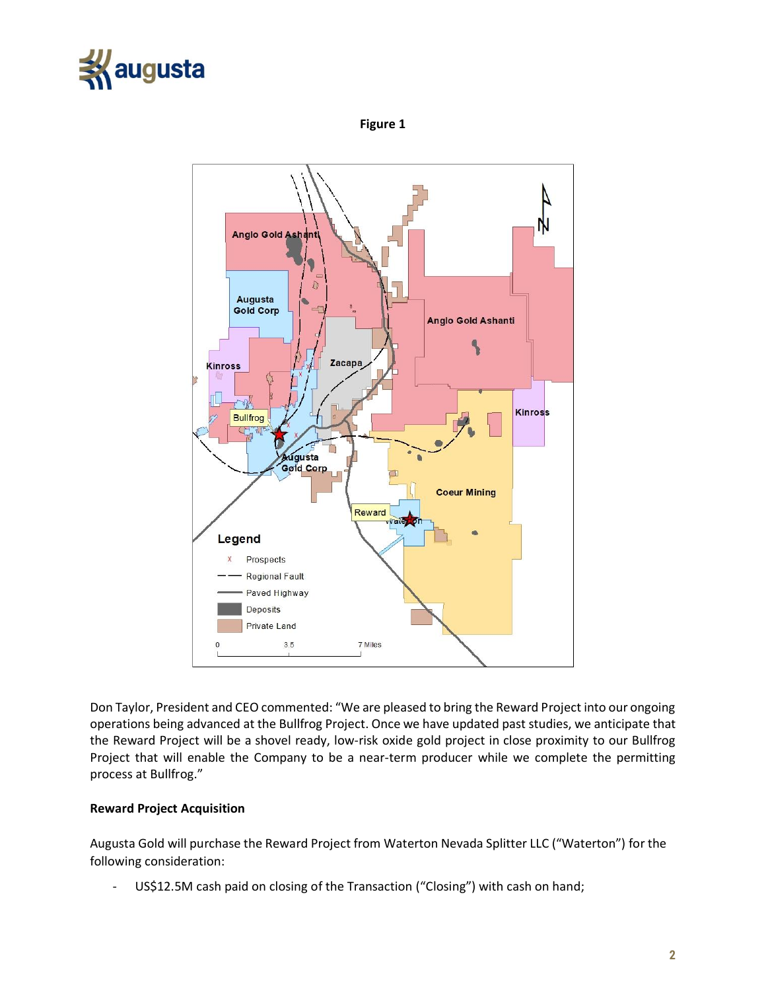

**Figure 1**



Don Taylor, President and CEO commented: "We are pleased to bring the Reward Project into our ongoing operations being advanced at the Bullfrog Project. Once we have updated past studies, we anticipate that the Reward Project will be a shovel ready, low-risk oxide gold project in close proximity to our Bullfrog Project that will enable the Company to be a near-term producer while we complete the permitting process at Bullfrog."

## **Reward Project Acquisition**

Augusta Gold will purchase the Reward Project from Waterton Nevada Splitter LLC ("Waterton") for the following consideration:

- US\$12.5M cash paid on closing of the Transaction ("Closing") with cash on hand;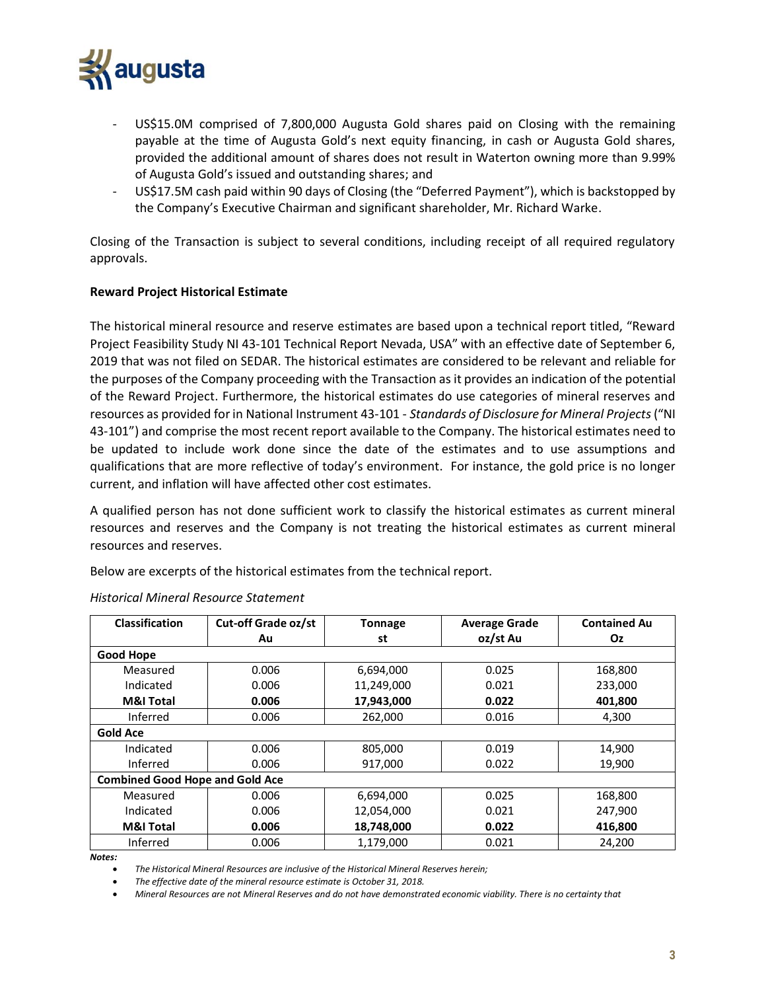

- US\$15.0M comprised of 7,800,000 Augusta Gold shares paid on Closing with the remaining payable at the time of Augusta Gold's next equity financing, in cash or Augusta Gold shares, provided the additional amount of shares does not result in Waterton owning more than 9.99% of Augusta Gold's issued and outstanding shares; and
- US\$17.5M cash paid within 90 days of Closing (the "Deferred Payment"), which is backstopped by the Company's Executive Chairman and significant shareholder, Mr. Richard Warke.

Closing of the Transaction is subject to several conditions, including receipt of all required regulatory approvals.

## **Reward Project Historical Estimate**

The historical mineral resource and reserve estimates are based upon a technical report titled, "Reward Project Feasibility Study NI 43-101 Technical Report Nevada, USA" with an effective date of September 6, 2019 that was not filed on SEDAR. The historical estimates are considered to be relevant and reliable for the purposes of the Company proceeding with the Transaction as it provides an indication of the potential of the Reward Project. Furthermore, the historical estimates do use categories of mineral reserves and resources as provided for in National Instrument 43-101 - *Standards of Disclosure for Mineral Projects*("NI 43-101") and comprise the most recent report available to the Company. The historical estimates need to be updated to include work done since the date of the estimates and to use assumptions and qualifications that are more reflective of today's environment. For instance, the gold price is no longer current, and inflation will have affected other cost estimates.

A qualified person has not done sufficient work to classify the historical estimates as current mineral resources and reserves and the Company is not treating the historical estimates as current mineral resources and reserves.

Below are excerpts of the historical estimates from the technical report.

| <b>Classification</b>                  | Cut-off Grade oz/st | <b>Tonnage</b> | <b>Average Grade</b> | <b>Contained Au</b> |
|----------------------------------------|---------------------|----------------|----------------------|---------------------|
|                                        | Au                  | st             | oz/st Au             | Oz.                 |
| <b>Good Hope</b>                       |                     |                |                      |                     |
| Measured                               | 0.006               | 6,694,000      | 0.025                | 168,800             |
| Indicated                              | 0.006               | 11,249,000     | 0.021                | 233,000             |
| <b>M&amp;I Total</b>                   | 0.006               | 17,943,000     | 0.022                | 401,800             |
| Inferred                               | 0.006               | 262,000        | 0.016                | 4,300               |
| <b>Gold Ace</b>                        |                     |                |                      |                     |
| Indicated                              | 0.006               | 805,000        | 0.019                | 14,900              |
| Inferred                               | 0.006               | 917,000        | 0.022                | 19,900              |
| <b>Combined Good Hope and Gold Ace</b> |                     |                |                      |                     |
| Measured                               | 0.006               | 6,694,000      | 0.025                | 168,800             |
| Indicated                              | 0.006               | 12,054,000     | 0.021                | 247,900             |
| <b>M&amp;I Total</b>                   | 0.006               | 18,748,000     | 0.022                | 416,800             |
| Inferred                               | 0.006               | 1,179,000      | 0.021                | 24,200              |

### *Historical Mineral Resource Statement*

*Notes:*

• *The Historical Mineral Resources are inclusive of the Historical Mineral Reserves herein;*

• *The effective date of the mineral resource estimate is October 31, 2018.*

• *Mineral Resources are not Mineral Reserves and do not have demonstrated economic viability. There is no certainty that*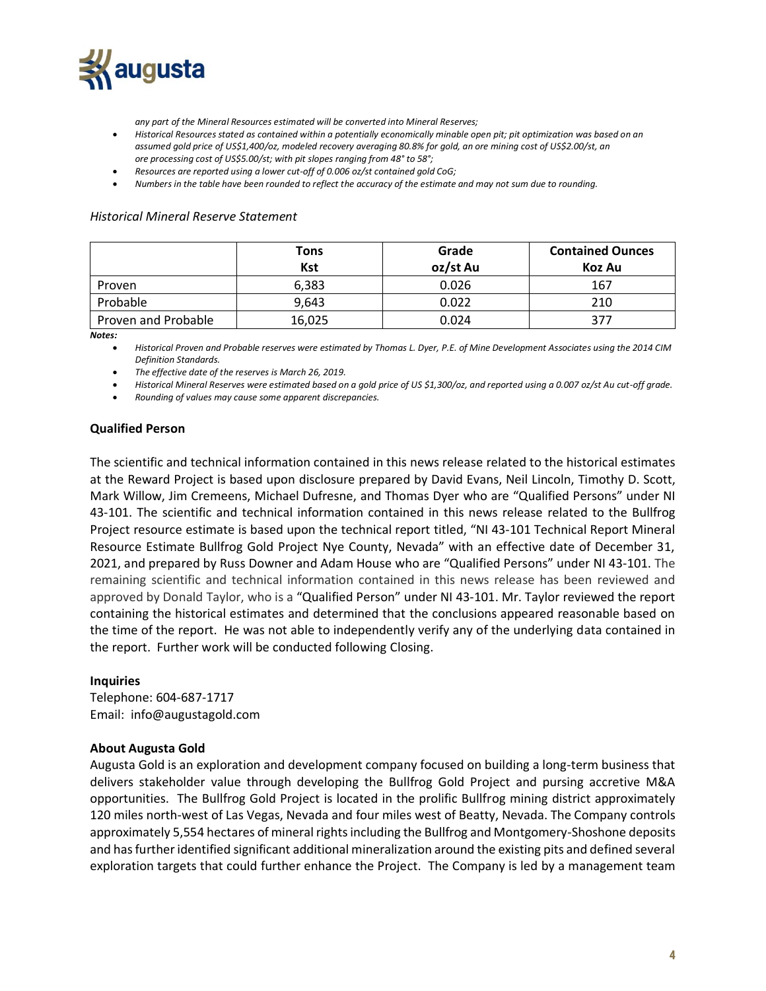

*any part of the Mineral Resources estimated will be converted into Mineral Reserves;*

- *Historical Resources stated as contained within a potentially economically minable open pit; pit optimization was based on an assumed gold price of US\$1,400/oz, modeled recovery averaging 80.8% for gold, an ore mining cost of US\$2.00/st, an ore processing cost of US\$5.00/st; with pit slopes ranging from 48° to 58°;*
- *Resources are reported using a lower cut-off of 0.006 oz/st contained gold CoG;*
- *Numbers in the table have been rounded to reflect the accuracy of the estimate and may not sum due to rounding.*

#### *Historical Mineral Reserve Statement*

|                     | Tons<br>Kst | Grade<br>oz/st Au | <b>Contained Ounces</b><br>Koz Au |
|---------------------|-------------|-------------------|-----------------------------------|
| Proven              | 6,383       | 0.026             | 167                               |
| Probable            | 9,643       | 0.022             | 210                               |
| Proven and Probable | 16,025      | 0.024             | 377                               |

*Notes:*

• *Historical Proven and Probable reserves were estimated by Thomas L. Dyer, P.E. of Mine Development Associates using the 2014 CIM Definition Standards.*

• *The effective date of the reserves is March 26, 2019.*

• *Historical Mineral Reserves were estimated based on a gold price of US \$1,300/oz, and reported using a 0.007 oz/st Au cut-off grade.*

• *Rounding of values may cause some apparent discrepancies.*

## **Qualified Person**

The scientific and technical information contained in this news release related to the historical estimates at the Reward Project is based upon disclosure prepared by David Evans, Neil Lincoln, Timothy D. Scott, Mark Willow, Jim Cremeens, Michael Dufresne, and Thomas Dyer who are "Qualified Persons" under NI 43-101. The scientific and technical information contained in this news release related to the Bullfrog Project resource estimate is based upon the technical report titled, "NI 43-101 Technical Report Mineral Resource Estimate Bullfrog Gold Project Nye County, Nevada" with an effective date of December 31, 2021, and prepared by Russ Downer and Adam House who are "Qualified Persons" under NI 43-101. The remaining scientific and technical information contained in this news release has been reviewed and approved by Donald Taylor, who is a "Qualified Person" under NI 43-101. Mr. Taylor reviewed the report containing the historical estimates and determined that the conclusions appeared reasonable based on the time of the report. He was not able to independently verify any of the underlying data contained in the report. Further work will be conducted following Closing.

### **Inquiries**

Telephone: 604-687-1717 Email: info@augustagold.com

### **About Augusta Gold**

Augusta Gold is an exploration and development company focused on building a long-term business that delivers stakeholder value through developing the Bullfrog Gold Project and pursing accretive M&A opportunities. The Bullfrog Gold Project is located in the prolific Bullfrog mining district approximately 120 miles north-west of Las Vegas, Nevada and four miles west of Beatty, Nevada. The Company controls approximately 5,554 hectares of mineral rights including the Bullfrog and Montgomery-Shoshone deposits and has further identified significant additional mineralization around the existing pits and defined several exploration targets that could further enhance the Project. The Company is led by a management team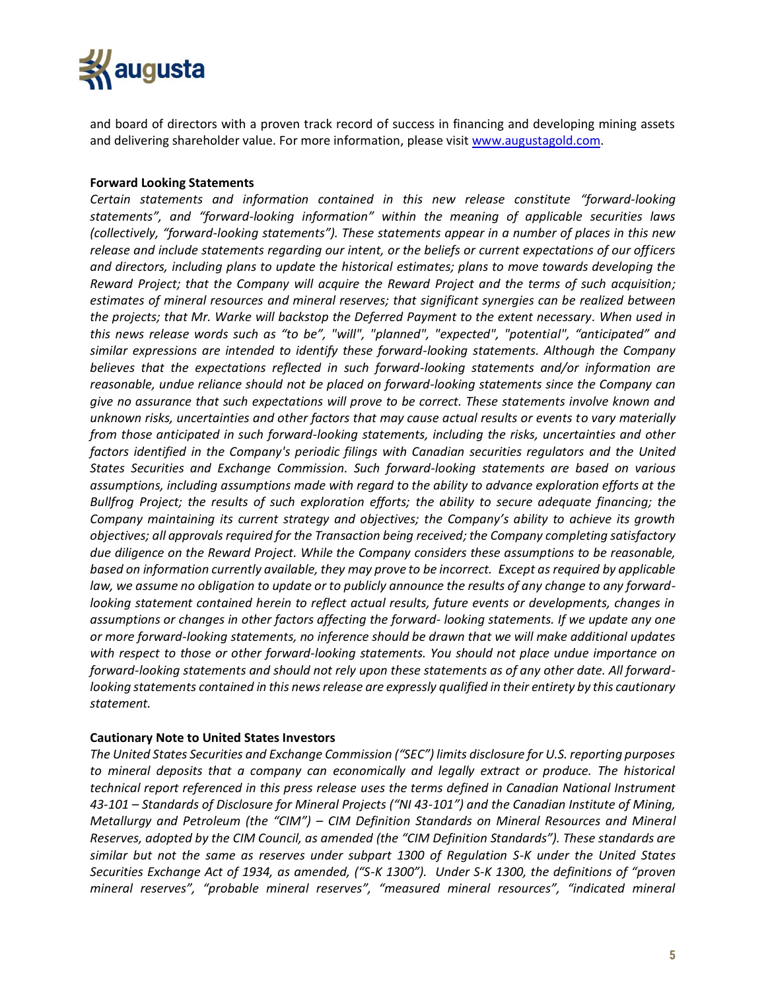

and board of directors with a proven track record of success in financing and developing mining assets and delivering shareholder value. For more information, please visit [www.augustagold.com.](http://www.augustagold.com/)

## **Forward Looking Statements**

*Certain statements and information contained in this new release constitute "forward-looking statements", and "forward-looking information" within the meaning of applicable securities laws (collectively, "forward-looking statements"). These statements appear in a number of places in this new release and include statements regarding our intent, or the beliefs or current expectations of our officers and directors, including plans to update the historical estimates; plans to move towards developing the Reward Project; that the Company will acquire the Reward Project and the terms of such acquisition; estimates of mineral resources and mineral reserves; that significant synergies can be realized between the projects; that Mr. Warke will backstop the Deferred Payment to the extent necessary. When used in this news release words such as "to be", "will", "planned", "expected", "potential", "anticipated" and similar expressions are intended to identify these forward-looking statements. Although the Company believes that the expectations reflected in such forward-looking statements and/or information are reasonable, undue reliance should not be placed on forward-looking statements since the Company can give no assurance that such expectations will prove to be correct. These statements involve known and unknown risks, uncertainties and other factors that may cause actual results or events to vary materially from those anticipated in such forward-looking statements, including the risks, uncertainties and other factors identified in the Company's periodic filings with Canadian securities regulators and the United States Securities and Exchange Commission. Such forward-looking statements are based on various assumptions, including assumptions made with regard to the ability to advance exploration efforts at the Bullfrog Project; the results of such exploration efforts; the ability to secure adequate financing; the Company maintaining its current strategy and objectives; the Company's ability to achieve its growth objectives; all approvals required for the Transaction being received; the Company completing satisfactory due diligence on the Reward Project. While the Company considers these assumptions to be reasonable, based on information currently available, they may prove to be incorrect. Except as required by applicable law, we assume no obligation to update or to publicly announce the results of any change to any forwardlooking statement contained herein to reflect actual results, future events or developments, changes in assumptions or changes in other factors affecting the forward- looking statements. If we update any one or more forward-looking statements, no inference should be drawn that we will make additional updates with respect to those or other forward-looking statements. You should not place undue importance on forward-looking statements and should not rely upon these statements as of any other date. All forwardlooking statements contained in this news release are expressly qualified in their entirety by this cautionary statement.*

### **Cautionary Note to United States Investors**

*The United States Securities and Exchange Commission ("SEC") limits disclosure for U.S. reporting purposes to mineral deposits that a company can economically and legally extract or produce. The historical technical report referenced in this press release uses the terms defined in Canadian National Instrument 43-101 – Standards of Disclosure for Mineral Projects ("NI 43-101") and the Canadian Institute of Mining, Metallurgy and Petroleum (the "CIM") – CIM Definition Standards on Mineral Resources and Mineral Reserves, adopted by the CIM Council, as amended (the "CIM Definition Standards"). These standards are similar but not the same as reserves under subpart 1300 of Regulation S-K under the United States Securities Exchange Act of 1934, as amended, ("S-K 1300"). Under S-K 1300, the definitions of "proven mineral reserves", "probable mineral reserves", "measured mineral resources", "indicated mineral*